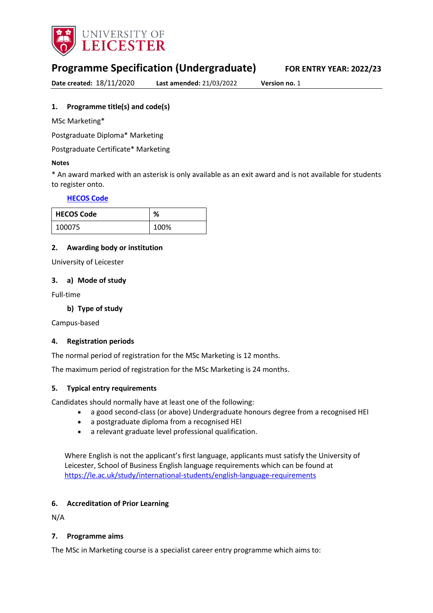

# **Programme Specification (Undergraduate) FOR ENTRY YEAR: 2022/23**

**Date created:** 18/11/2020 **Last amended:** 21/03/2022 **Version no.** 1

### <span id="page-0-0"></span>**1. Programme title(s) and code(s)**

MSc Marketing\*

Postgraduate Diploma\* Marketing

Postgraduate Certificate\* Marketing

#### **Notes**

\* An award marked with an asterisk is only available as an exit award and is not available for students to register onto.

### **[HECOS Code](https://www.hesa.ac.uk/innovation/hecos)**

| <b>HECOS Code</b> | ℅    |
|-------------------|------|
| 100075            | 100% |

### **2. Awarding body or institution**

University of Leicester

### **3. a) Mode of study**

Full-time

### **b) Type of study**

Campus-based

### **4. Registration periods**

The normal period of registration for the MSc Marketing is 12 months.

The maximum period of registration for the MSc Marketing is 24 months.

### **5. Typical entry requirements**

Candidates should normally have at least one of the following: 

- a good second-class (or above) Undergraduate honours degree from a recognised HEI
- a postgraduate diploma from a recognised HEI
- a relevant graduate level professional qualification.

Where English is not the applicant's first language, applicants must satisfy the University of Leicester, School of Business English language requirements which can be found at <https://le.ac.uk/study/international-students/english-language-requirements>

### **6. Accreditation of Prior Learning**

N/A

### **7. Programme aims**

The MSc in Marketing course is a specialist career entry programme which aims to: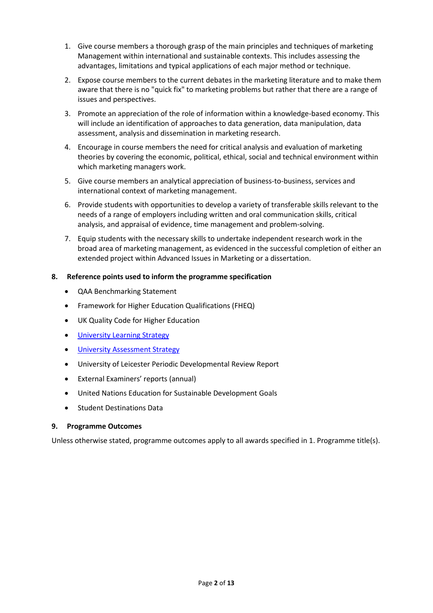- 1. Give course members a thorough grasp of the main principles and techniques of marketing Management within international and sustainable contexts. This includes assessing the advantages, limitations and typical applications of each major method or technique.
- 2. Expose course members to the current debates in the marketing literature and to make them aware that there is no "quick fix" to marketing problems but rather that there are a range of issues and perspectives.
- 3. Promote an appreciation of the role of information within a knowledge-based economy. This will include an identification of approaches to data generation, data manipulation, data assessment, analysis and dissemination in marketing research.
- 4. Encourage in course members the need for critical analysis and evaluation of marketing theories by covering the economic, political, ethical, social and technical environment within which marketing managers work.
- 5. Give course members an analytical appreciation of business-to-business, services and international context of marketing management.
- 6. Provide students with opportunities to develop a variety of transferable skills relevant to the needs of a range of employers including written and oral communication skills, critical analysis, and appraisal of evidence, time management and problem-solving.
- 7. Equip students with the necessary skills to undertake independent research work in the broad area of marketing management, as evidenced in the successful completion of either an extended project within Advanced Issues in Marketing or a dissertation.

### **8. Reference points used to inform the programme specification**

- QAA Benchmarking Statement
- Framework for Higher Education Qualifications (FHEQ)
- UK Quality Code for Higher Education
- [University Learning](https://www2.le.ac.uk/offices/sas2/quality/learnteach) Strategy
- [University Assessment Strategy](https://www2.le.ac.uk/offices/sas2/quality/learnteach)
- University of Leicester Periodic Developmental Review Report
- External Examiners' reports (annual)
- United Nations Education for Sustainable Development Goals
- Student Destinations Data

### **9. Programme Outcomes**

Unless otherwise stated, programme outcomes apply to all awards specified in [1.](#page-0-0) Programme title(s).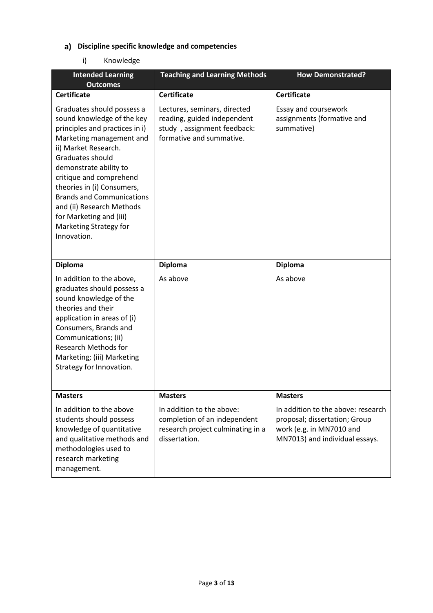# **Discipline specific knowledge and competencies**

## i) Knowledge

| <b>Intended Learning</b><br><b>Outcomes</b>                                                                                                                                                                                                                                                                                                                                                | <b>Teaching and Learning Methods</b>                                                                                   | <b>How Demonstrated?</b>                                                                                                          |
|--------------------------------------------------------------------------------------------------------------------------------------------------------------------------------------------------------------------------------------------------------------------------------------------------------------------------------------------------------------------------------------------|------------------------------------------------------------------------------------------------------------------------|-----------------------------------------------------------------------------------------------------------------------------------|
| <b>Certificate</b>                                                                                                                                                                                                                                                                                                                                                                         | <b>Certificate</b>                                                                                                     | <b>Certificate</b>                                                                                                                |
| Graduates should possess a<br>sound knowledge of the key<br>principles and practices in i)<br>Marketing management and<br>ii) Market Research.<br>Graduates should<br>demonstrate ability to<br>critique and comprehend<br>theories in (i) Consumers,<br><b>Brands and Communications</b><br>and (ii) Research Methods<br>for Marketing and (iii)<br>Marketing Strategy for<br>Innovation. | Lectures, seminars, directed<br>reading, guided independent<br>study, assignment feedback:<br>formative and summative. | Essay and coursework<br>assignments (formative and<br>summative)                                                                  |
| <b>Diploma</b>                                                                                                                                                                                                                                                                                                                                                                             | <b>Diploma</b>                                                                                                         | <b>Diploma</b>                                                                                                                    |
| In addition to the above,<br>graduates should possess a<br>sound knowledge of the<br>theories and their<br>application in areas of (i)<br>Consumers, Brands and<br>Communications; (ii)<br><b>Research Methods for</b><br>Marketing; (iii) Marketing<br>Strategy for Innovation.                                                                                                           | As above                                                                                                               | As above                                                                                                                          |
| <b>Masters</b>                                                                                                                                                                                                                                                                                                                                                                             | <b>Masters</b>                                                                                                         | <b>Masters</b>                                                                                                                    |
| In addition to the above<br>students should possess<br>knowledge of quantitative<br>and qualitative methods and<br>methodologies used to<br>research marketing<br>management.                                                                                                                                                                                                              | In addition to the above:<br>completion of an independent<br>research project culminating in a<br>dissertation.        | In addition to the above: research<br>proposal; dissertation; Group<br>work (e.g. in MN7010 and<br>MN7013) and individual essays. |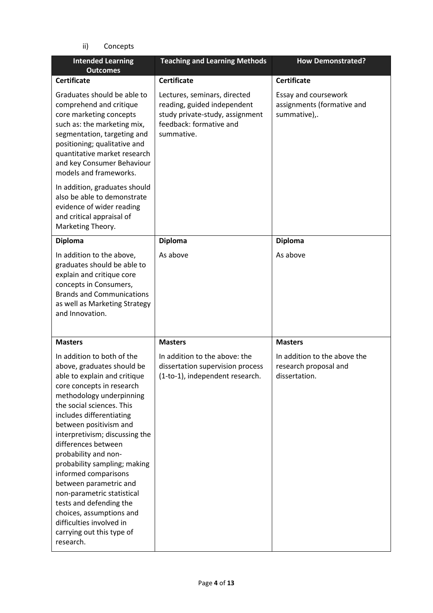ii) Concepts

| <b>Intended Learning</b><br><b>Outcomes</b>                                                                                                                                                                                                                                                                                                                                                                                                                                                                                                                        | <b>Teaching and Learning Methods</b>                                                                                                    | <b>How Demonstrated?</b>                                               |
|--------------------------------------------------------------------------------------------------------------------------------------------------------------------------------------------------------------------------------------------------------------------------------------------------------------------------------------------------------------------------------------------------------------------------------------------------------------------------------------------------------------------------------------------------------------------|-----------------------------------------------------------------------------------------------------------------------------------------|------------------------------------------------------------------------|
| <b>Certificate</b>                                                                                                                                                                                                                                                                                                                                                                                                                                                                                                                                                 | <b>Certificate</b>                                                                                                                      | <b>Certificate</b>                                                     |
| Graduates should be able to<br>comprehend and critique<br>core marketing concepts<br>such as: the marketing mix,<br>segmentation, targeting and<br>positioning; qualitative and<br>quantitative market research<br>and key Consumer Behaviour<br>models and frameworks.                                                                                                                                                                                                                                                                                            | Lectures, seminars, directed<br>reading, guided independent<br>study private-study, assignment<br>feedback: formative and<br>summative. | Essay and coursework<br>assignments (formative and<br>summative),.     |
| In addition, graduates should<br>also be able to demonstrate<br>evidence of wider reading<br>and critical appraisal of<br>Marketing Theory.                                                                                                                                                                                                                                                                                                                                                                                                                        |                                                                                                                                         |                                                                        |
| <b>Diploma</b>                                                                                                                                                                                                                                                                                                                                                                                                                                                                                                                                                     | <b>Diploma</b>                                                                                                                          | <b>Diploma</b>                                                         |
| In addition to the above,<br>graduates should be able to<br>explain and critique core<br>concepts in Consumers,<br><b>Brands and Communications</b><br>as well as Marketing Strategy<br>and Innovation.                                                                                                                                                                                                                                                                                                                                                            | As above                                                                                                                                | As above                                                               |
| <b>Masters</b>                                                                                                                                                                                                                                                                                                                                                                                                                                                                                                                                                     | <b>Masters</b>                                                                                                                          | <b>Masters</b>                                                         |
| In addition to both of the<br>above, graduates should be<br>able to explain and critique<br>core concepts in research<br>methodology underpinning<br>the social sciences. This<br>includes differentiating<br>between positivism and<br>interpretivism; discussing the<br>differences between<br>probability and non-<br>probability sampling; making<br>informed comparisons<br>between parametric and<br>non-parametric statistical<br>tests and defending the<br>choices, assumptions and<br>difficulties involved in<br>carrying out this type of<br>research. | In addition to the above: the<br>dissertation supervision process<br>(1-to-1), independent research.                                    | In addition to the above the<br>research proposal and<br>dissertation. |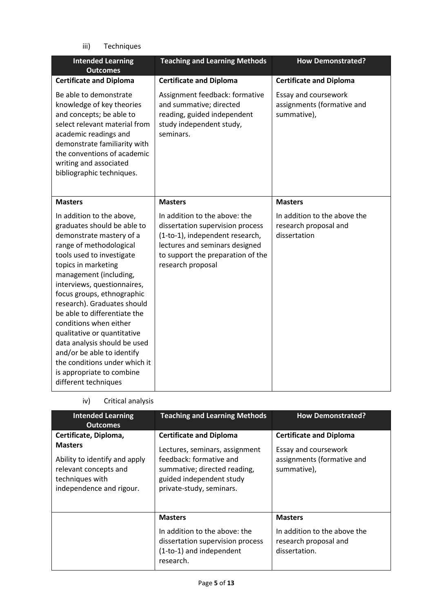iii) Techniques

| <b>Intended Learning</b><br><b>Outcomes</b>                                                                                                                                                                                                                                                                                                                                                                                                                                                                                            | <b>Teaching and Learning Methods</b>                                                                                                                                                             | <b>How Demonstrated?</b>                                              |
|----------------------------------------------------------------------------------------------------------------------------------------------------------------------------------------------------------------------------------------------------------------------------------------------------------------------------------------------------------------------------------------------------------------------------------------------------------------------------------------------------------------------------------------|--------------------------------------------------------------------------------------------------------------------------------------------------------------------------------------------------|-----------------------------------------------------------------------|
| <b>Certificate and Diploma</b>                                                                                                                                                                                                                                                                                                                                                                                                                                                                                                         | <b>Certificate and Diploma</b>                                                                                                                                                                   | <b>Certificate and Diploma</b>                                        |
| Be able to demonstrate<br>knowledge of key theories<br>and concepts; be able to<br>select relevant material from<br>academic readings and<br>demonstrate familiarity with<br>the conventions of academic<br>writing and associated<br>bibliographic techniques.                                                                                                                                                                                                                                                                        | Assignment feedback: formative<br>and summative; directed<br>reading, guided independent<br>study independent study,<br>seminars.                                                                | Essay and coursework<br>assignments (formative and<br>summative),     |
| <b>Masters</b>                                                                                                                                                                                                                                                                                                                                                                                                                                                                                                                         | <b>Masters</b>                                                                                                                                                                                   | <b>Masters</b>                                                        |
| In addition to the above,<br>graduates should be able to<br>demonstrate mastery of a<br>range of methodological<br>tools used to investigate<br>topics in marketing<br>management (including,<br>interviews, questionnaires,<br>focus groups, ethnographic<br>research). Graduates should<br>be able to differentiate the<br>conditions when either<br>qualitative or quantitative<br>data analysis should be used<br>and/or be able to identify<br>the conditions under which it<br>is appropriate to combine<br>different techniques | In addition to the above: the<br>dissertation supervision process<br>(1-to-1), independent research,<br>lectures and seminars designed<br>to support the preparation of the<br>research proposal | In addition to the above the<br>research proposal and<br>dissertation |

iv) Critical analysis

| <b>Intended Learning</b><br><b>Outcomes</b>                                                                                                      | <b>Teaching and Learning Methods</b>                                                                                                                                                | <b>How Demonstrated?</b>                                                                            |
|--------------------------------------------------------------------------------------------------------------------------------------------------|-------------------------------------------------------------------------------------------------------------------------------------------------------------------------------------|-----------------------------------------------------------------------------------------------------|
| Certificate, Diploma,<br><b>Masters</b><br>Ability to identify and apply<br>relevant concepts and<br>techniques with<br>independence and rigour. | <b>Certificate and Diploma</b><br>Lectures, seminars, assignment<br>feedback: formative and<br>summative; directed reading,<br>guided independent study<br>private-study, seminars. | <b>Certificate and Diploma</b><br>Essay and coursework<br>assignments (formative and<br>summative), |
|                                                                                                                                                  | <b>Masters</b><br>In addition to the above: the<br>dissertation supervision process<br>(1-to-1) and independent<br>research.                                                        | <b>Masters</b><br>In addition to the above the<br>research proposal and<br>dissertation.            |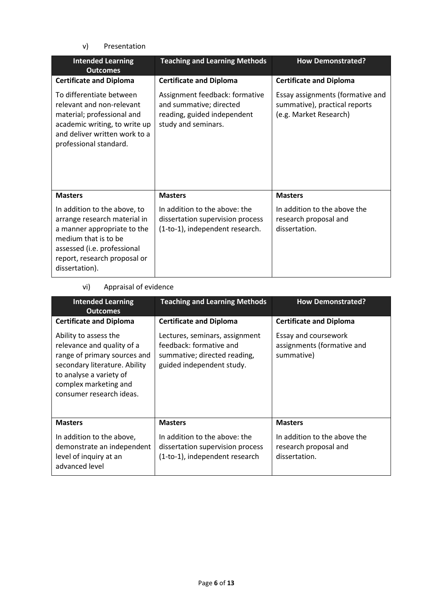v) Presentation

| <b>Intended Learning</b><br><b>Outcomes</b>                                                                                                                                                          | <b>Teaching and Learning Methods</b>                                                                            | <b>How Demonstrated?</b>                                                                    |
|------------------------------------------------------------------------------------------------------------------------------------------------------------------------------------------------------|-----------------------------------------------------------------------------------------------------------------|---------------------------------------------------------------------------------------------|
| <b>Certificate and Diploma</b>                                                                                                                                                                       | <b>Certificate and Diploma</b>                                                                                  | <b>Certificate and Diploma</b>                                                              |
| To differentiate between<br>relevant and non-relevant<br>material; professional and<br>academic writing, to write up<br>and deliver written work to a<br>professional standard.                      | Assignment feedback: formative<br>and summative; directed<br>reading, guided independent<br>study and seminars. | Essay assignments (formative and<br>summative), practical reports<br>(e.g. Market Research) |
| <b>Masters</b>                                                                                                                                                                                       | <b>Masters</b>                                                                                                  | <b>Masters</b>                                                                              |
| In addition to the above, to<br>arrange research material in<br>a manner appropriate to the<br>medium that is to be<br>assessed (i.e. professional<br>report, research proposal or<br>dissertation). | In addition to the above: the<br>dissertation supervision process<br>(1-to-1), independent research.            | In addition to the above the<br>research proposal and<br>dissertation.                      |

## vi) Appraisal of evidence

| <b>Intended Learning</b><br><b>Outcomes</b>                                                                                                                                                          | <b>Teaching and Learning Methods</b>                                                                                   | <b>How Demonstrated?</b>                                               |
|------------------------------------------------------------------------------------------------------------------------------------------------------------------------------------------------------|------------------------------------------------------------------------------------------------------------------------|------------------------------------------------------------------------|
| <b>Certificate and Diploma</b>                                                                                                                                                                       | <b>Certificate and Diploma</b>                                                                                         | <b>Certificate and Diploma</b>                                         |
| Ability to assess the<br>relevance and quality of a<br>range of primary sources and<br>secondary literature. Ability<br>to analyse a variety of<br>complex marketing and<br>consumer research ideas. | Lectures, seminars, assignment<br>feedback: formative and<br>summative; directed reading,<br>guided independent study. | Essay and coursework<br>assignments (formative and<br>summative)       |
| <b>Masters</b>                                                                                                                                                                                       | <b>Masters</b>                                                                                                         | <b>Masters</b>                                                         |
| In addition to the above,<br>demonstrate an independent<br>level of inquiry at an<br>advanced level                                                                                                  | In addition to the above: the<br>dissertation supervision process<br>(1-to-1), independent research                    | In addition to the above the<br>research proposal and<br>dissertation. |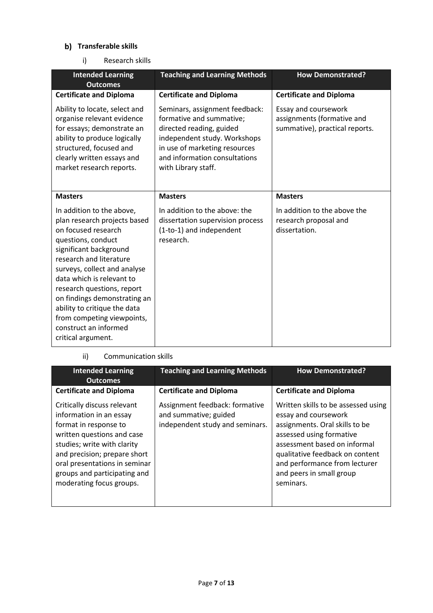## **b)** Transferable skills

i) Research skills

| <b>Intended Learning</b><br><b>Outcomes</b>                                                                                                                                                                                                                                                                                                                                                         | <b>Teaching and Learning Methods</b>                                                                                                                                                                            | <b>How Demonstrated?</b>                                                             |
|-----------------------------------------------------------------------------------------------------------------------------------------------------------------------------------------------------------------------------------------------------------------------------------------------------------------------------------------------------------------------------------------------------|-----------------------------------------------------------------------------------------------------------------------------------------------------------------------------------------------------------------|--------------------------------------------------------------------------------------|
| <b>Certificate and Diploma</b>                                                                                                                                                                                                                                                                                                                                                                      | <b>Certificate and Diploma</b>                                                                                                                                                                                  | <b>Certificate and Diploma</b>                                                       |
| Ability to locate, select and<br>organise relevant evidence<br>for essays; demonstrate an<br>ability to produce logically<br>structured, focused and<br>clearly written essays and<br>market research reports.                                                                                                                                                                                      | Seminars, assignment feedback:<br>formative and summative;<br>directed reading, guided<br>independent study. Workshops<br>in use of marketing resources<br>and information consultations<br>with Library staff. | Essay and coursework<br>assignments (formative and<br>summative), practical reports. |
| <b>Masters</b>                                                                                                                                                                                                                                                                                                                                                                                      | <b>Masters</b>                                                                                                                                                                                                  | <b>Masters</b>                                                                       |
| In addition to the above,<br>plan research projects based<br>on focused research<br>questions, conduct<br>significant background<br>research and literature<br>surveys, collect and analyse<br>data which is relevant to<br>research questions, report<br>on findings demonstrating an<br>ability to critique the data<br>from competing viewpoints,<br>construct an informed<br>critical argument. | In addition to the above: the<br>dissertation supervision process<br>(1-to-1) and independent<br>research.                                                                                                      | In addition to the above the<br>research proposal and<br>dissertation.               |

### ii) Communication skills

| <b>Intended Learning</b><br><b>Outcomes</b>                                                                                                                                                                                                                               | <b>Teaching and Learning Methods</b>                                                       | <b>How Demonstrated?</b>                                                                                                                                                                                                                                               |
|---------------------------------------------------------------------------------------------------------------------------------------------------------------------------------------------------------------------------------------------------------------------------|--------------------------------------------------------------------------------------------|------------------------------------------------------------------------------------------------------------------------------------------------------------------------------------------------------------------------------------------------------------------------|
| <b>Certificate and Diploma</b>                                                                                                                                                                                                                                            | <b>Certificate and Diploma</b>                                                             | <b>Certificate and Diploma</b>                                                                                                                                                                                                                                         |
| Critically discuss relevant<br>information in an essay<br>format in response to<br>written questions and case<br>studies; write with clarity<br>and precision; prepare short<br>oral presentations in seminar<br>groups and participating and<br>moderating focus groups. | Assignment feedback: formative<br>and summative; guided<br>independent study and seminars. | Written skills to be assessed using<br>essay and coursework<br>assignments. Oral skills to be<br>assessed using formative<br>assessment based on informal<br>qualitative feedback on content<br>and performance from lecturer<br>and peers in small group<br>seminars. |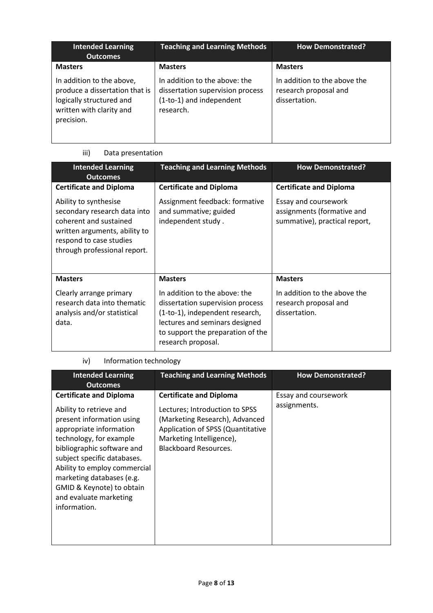| <b>Intended Learning</b><br><b>Outcomes</b>                                                                                       | <b>Teaching and Learning Methods</b>                                                                       | <b>How Demonstrated?</b>                                               |
|-----------------------------------------------------------------------------------------------------------------------------------|------------------------------------------------------------------------------------------------------------|------------------------------------------------------------------------|
| <b>Masters</b>                                                                                                                    | <b>Masters</b>                                                                                             | <b>Masters</b>                                                         |
| In addition to the above,<br>produce a dissertation that is<br>logically structured and<br>written with clarity and<br>precision. | In addition to the above: the<br>dissertation supervision process<br>(1-to-1) and independent<br>research. | In addition to the above the<br>research proposal and<br>dissertation. |

# iii) Data presentation

| <b>Intended Learning</b><br><b>Outcomes</b>                                                                                                                                 | <b>Teaching and Learning Methods</b>                                                                                                                                                              | <b>How Demonstrated?</b>                                                            |
|-----------------------------------------------------------------------------------------------------------------------------------------------------------------------------|---------------------------------------------------------------------------------------------------------------------------------------------------------------------------------------------------|-------------------------------------------------------------------------------------|
| <b>Certificate and Diploma</b>                                                                                                                                              | <b>Certificate and Diploma</b>                                                                                                                                                                    | <b>Certificate and Diploma</b>                                                      |
| Ability to synthesise<br>secondary research data into<br>coherent and sustained<br>written arguments, ability to<br>respond to case studies<br>through professional report. | Assignment feedback: formative<br>and summative; guided<br>independent study.                                                                                                                     | Essay and coursework<br>assignments (formative and<br>summative), practical report, |
| <b>Masters</b>                                                                                                                                                              | <b>Masters</b>                                                                                                                                                                                    | <b>Masters</b>                                                                      |
| Clearly arrange primary<br>research data into thematic<br>analysis and/or statistical<br>data.                                                                              | In addition to the above: the<br>dissertation supervision process<br>(1-to-1), independent research,<br>lectures and seminars designed<br>to support the preparation of the<br>research proposal. | In addition to the above the<br>research proposal and<br>dissertation.              |

## iv) Information technology

| <b>Intended Learning</b><br><b>Outcomes</b>                                                                                                                                                                                                                                                                                                   | <b>Teaching and Learning Methods</b>                                                                                                                                                                | <b>How Demonstrated?</b>             |
|-----------------------------------------------------------------------------------------------------------------------------------------------------------------------------------------------------------------------------------------------------------------------------------------------------------------------------------------------|-----------------------------------------------------------------------------------------------------------------------------------------------------------------------------------------------------|--------------------------------------|
| <b>Certificate and Diploma</b><br>Ability to retrieve and<br>present information using<br>appropriate information<br>technology, for example<br>bibliographic software and<br>subject specific databases.<br>Ability to employ commercial<br>marketing databases (e.g.<br>GMID & Keynote) to obtain<br>and evaluate marketing<br>information. | <b>Certificate and Diploma</b><br>Lectures; Introduction to SPSS<br>(Marketing Research), Advanced<br>Application of SPSS (Quantitative<br>Marketing Intelligence),<br><b>Blackboard Resources.</b> | Essay and coursework<br>assignments. |
|                                                                                                                                                                                                                                                                                                                                               |                                                                                                                                                                                                     |                                      |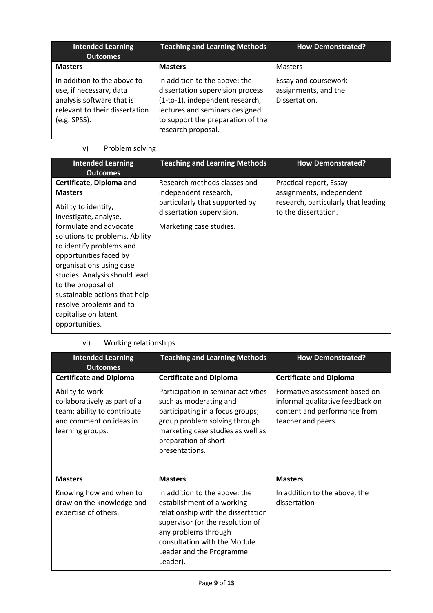| <b>Intended Learning</b><br><b>Outcomes</b>                                                                                           | <b>Teaching and Learning Methods</b>                                                                                                                                                              | <b>How Demonstrated?</b>                                      |
|---------------------------------------------------------------------------------------------------------------------------------------|---------------------------------------------------------------------------------------------------------------------------------------------------------------------------------------------------|---------------------------------------------------------------|
| <b>Masters</b>                                                                                                                        | <b>Masters</b>                                                                                                                                                                                    | <b>Masters</b>                                                |
| In addition to the above to<br>use, if necessary, data<br>analysis software that is<br>relevant to their dissertation<br>(e.g. SPSS). | In addition to the above: the<br>dissertation supervision process<br>(1-to-1), independent research,<br>lectures and seminars designed<br>to support the preparation of the<br>research proposal. | Essay and coursework<br>assignments, and the<br>Dissertation. |

# v) Problem solving

| <b>Intended Learning</b><br><b>Outcomes</b>                                                                                                                                                                                                                                                                                                                                                            | <b>Teaching and Learning Methods</b>                                                                                                            | <b>How Demonstrated?</b>                                                                                           |
|--------------------------------------------------------------------------------------------------------------------------------------------------------------------------------------------------------------------------------------------------------------------------------------------------------------------------------------------------------------------------------------------------------|-------------------------------------------------------------------------------------------------------------------------------------------------|--------------------------------------------------------------------------------------------------------------------|
| Certificate, Diploma and<br><b>Masters</b><br>Ability to identify,<br>investigate, analyse,<br>formulate and advocate<br>solutions to problems. Ability<br>to identify problems and<br>opportunities faced by<br>organisations using case<br>studies. Analysis should lead<br>to the proposal of<br>sustainable actions that help<br>resolve problems and to<br>capitalise on latent<br>opportunities. | Research methods classes and<br>independent research,<br>particularly that supported by<br>dissertation supervision.<br>Marketing case studies. | Practical report, Essay<br>assignments, independent<br>research, particularly that leading<br>to the dissertation. |

vi) Working relationships

| <b>Intended Learning</b><br><b>Outcomes</b>                                                                                   | <b>Teaching and Learning Methods</b>                                                                                                                                                                                                  | <b>How Demonstrated?</b>                                                                                                |  |
|-------------------------------------------------------------------------------------------------------------------------------|---------------------------------------------------------------------------------------------------------------------------------------------------------------------------------------------------------------------------------------|-------------------------------------------------------------------------------------------------------------------------|--|
| <b>Certificate and Diploma</b>                                                                                                | <b>Certificate and Diploma</b>                                                                                                                                                                                                        | <b>Certificate and Diploma</b>                                                                                          |  |
| Ability to work<br>collaboratively as part of a<br>team; ability to contribute<br>and comment on ideas in<br>learning groups. | Participation in seminar activities<br>such as moderating and<br>participating in a focus groups;<br>group problem solving through<br>marketing case studies as well as<br>preparation of short<br>presentations.                     | Formative assessment based on<br>informal qualitative feedback on<br>content and performance from<br>teacher and peers. |  |
| <b>Masters</b>                                                                                                                | <b>Masters</b>                                                                                                                                                                                                                        | <b>Masters</b>                                                                                                          |  |
| Knowing how and when to<br>draw on the knowledge and<br>expertise of others.                                                  | In addition to the above: the<br>establishment of a working<br>relationship with the dissertation<br>supervisor (or the resolution of<br>any problems through<br>consultation with the Module<br>Leader and the Programme<br>Leader). | In addition to the above, the<br>dissertation                                                                           |  |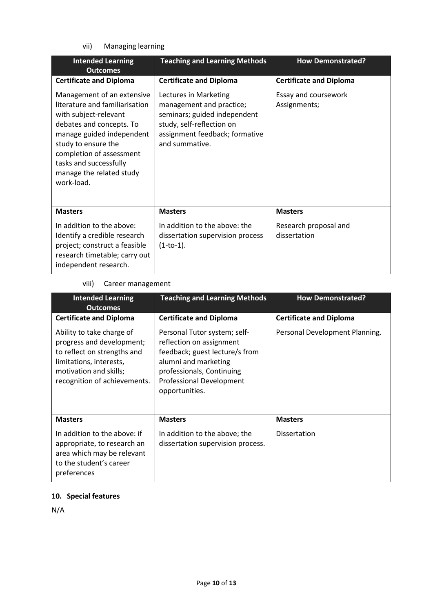vii) Managing learning

| <b>Intended Learning</b><br><b>Outcomes</b>                                                                                                                                                                                                                           | <b>Teaching and Learning Methods</b>                                                                                                                               | <b>How Demonstrated?</b>              |  |
|-----------------------------------------------------------------------------------------------------------------------------------------------------------------------------------------------------------------------------------------------------------------------|--------------------------------------------------------------------------------------------------------------------------------------------------------------------|---------------------------------------|--|
| <b>Certificate and Diploma</b>                                                                                                                                                                                                                                        | <b>Certificate and Diploma</b>                                                                                                                                     | <b>Certificate and Diploma</b>        |  |
| Management of an extensive<br>literature and familiarisation<br>with subject-relevant<br>debates and concepts. To<br>manage guided independent<br>study to ensure the<br>completion of assessment<br>tasks and successfully<br>manage the related study<br>work-load. | Lectures in Marketing<br>management and practice;<br>seminars; guided independent<br>study, self-reflection on<br>assignment feedback; formative<br>and summative. | Essay and coursework<br>Assignments;  |  |
| <b>Masters</b>                                                                                                                                                                                                                                                        | <b>Masters</b>                                                                                                                                                     | <b>Masters</b>                        |  |
| In addition to the above:<br>Identify a credible research<br>project; construct a feasible<br>research timetable; carry out<br>independent research.                                                                                                                  | In addition to the above: the<br>dissertation supervision process<br>$(1-to-1).$                                                                                   | Research proposal and<br>dissertation |  |

## viii) Career management

| <b>Intended Learning</b><br><b>Outcomes</b>                                                                                                                                | <b>Teaching and Learning Methods</b>                                                                                                                                                          | <b>How Demonstrated?</b>       |  |
|----------------------------------------------------------------------------------------------------------------------------------------------------------------------------|-----------------------------------------------------------------------------------------------------------------------------------------------------------------------------------------------|--------------------------------|--|
| <b>Certificate and Diploma</b>                                                                                                                                             | <b>Certificate and Diploma</b>                                                                                                                                                                | <b>Certificate and Diploma</b> |  |
| Ability to take charge of<br>progress and development;<br>to reflect on strengths and<br>limitations, interests,<br>motivation and skills;<br>recognition of achievements. | Personal Tutor system; self-<br>reflection on assignment<br>feedback; guest lecture/s from<br>alumni and marketing<br>professionals, Continuing<br>Professional Development<br>opportunities. | Personal Development Planning. |  |
| <b>Masters</b>                                                                                                                                                             | <b>Masters</b>                                                                                                                                                                                | <b>Masters</b>                 |  |
| In addition to the above: if<br>appropriate, to research an<br>area which may be relevant<br>to the student's career<br>preferences                                        | In addition to the above; the<br>dissertation supervision process.                                                                                                                            | <b>Dissertation</b>            |  |

# **10. Special features**

N/A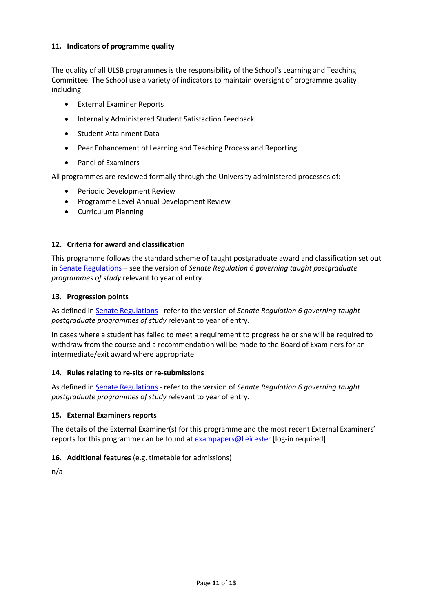### **11. Indicators of programme quality**

The quality of all ULSB programmes is the responsibility of the School's Learning and Teaching Committee. The School use a variety of indicators to maintain oversight of programme quality including:

- External Examiner Reports
- Internally Administered Student Satisfaction Feedback
- Student Attainment Data
- Peer Enhancement of Learning and Teaching Process and Reporting
- Panel of Examiners

All programmes are reviewed formally through the University administered processes of:

- Periodic Development Review
- Programme Level Annual Development Review
- Curriculum Planning

### **12. Criteria for award and classification**

This programme follows the standard scheme of taught postgraduate award and classification set out i[n Senate Regulations](http://www.le.ac.uk/senate-regulations) – see the version of *Senate Regulation 6 governing taught postgraduate programmes of study* relevant to year of entry.

#### **13. Progression points**

As defined i[n Senate Regulations](http://www.le.ac.uk/senate-regulation6) - refer to the version of *Senate Regulation 6 governing taught postgraduate programmes of study* relevant to year of entry.

In cases where a student has failed to meet a requirement to progress he or she will be required to withdraw from the course and a recommendation will be made to the Board of Examiners for an intermediate/exit award where appropriate.

### **14. Rules relating to re-sits or re-submissions**

As defined i[n Senate Regulations](http://www.le.ac.uk/senate-regulation6) - refer to the version of *Senate Regulation 6 governing taught postgraduate programmes of study* relevant to year of entry.

### **15. External Examiners reports**

The details of the External Examiner(s) for this programme and the most recent External Examiners' reports for this programme can be found at [exampapers@Leicester](https://exampapers.le.ac.uk/) [log-in required]

### **16. Additional features** (e.g. timetable for admissions)

n/a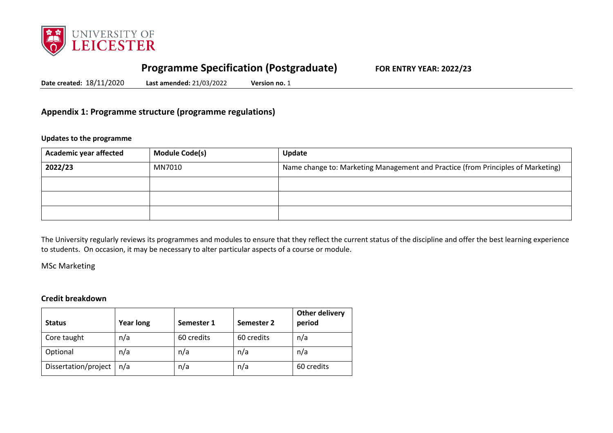

# **Programme Specification (Postgraduate) FOR ENTRY YEAR: 2022/23**

**Date created:** 18/11/2020 **Last amended:** 21/03/2022 **Version no.** 1

## **Appendix 1: Programme structure (programme regulations)**

### **Updates to the programme**

| <b>Academic year affected</b> | <b>Module Code(s)</b> | Update                                                                           |
|-------------------------------|-----------------------|----------------------------------------------------------------------------------|
| 2022/23                       | MN7010                | Name change to: Marketing Management and Practice (from Principles of Marketing) |
|                               |                       |                                                                                  |
|                               |                       |                                                                                  |
|                               |                       |                                                                                  |

The University regularly reviews its programmes and modules to ensure that they reflect the current status of the discipline and offer the best learning experience to students. On occasion, it may be necessary to alter particular aspects of a course or module.

### MSc Marketing

## **Credit breakdown**

| <b>Status</b>        | <b>Year long</b> | Semester 1 | Semester 2 | Other delivery<br>period |
|----------------------|------------------|------------|------------|--------------------------|
| Core taught          | n/a              | 60 credits | 60 credits | n/a                      |
| Optional             | n/a              | n/a        | n/a        | n/a                      |
| Dissertation/project | n/a              | n/a        | n/a        | 60 credits               |